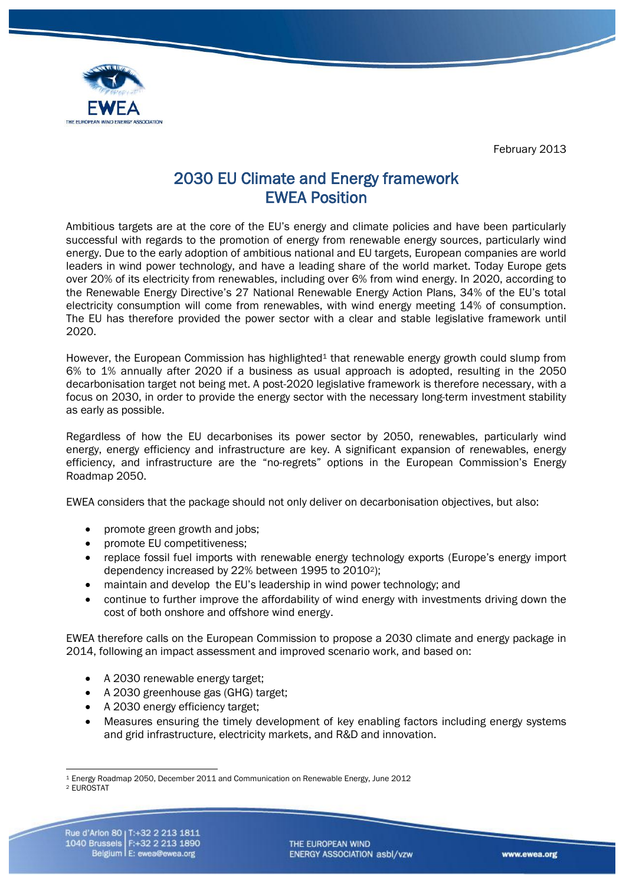February 2013



# 2030 EU Climate and Energy framework EWEA Position

Ambitious targets are at the core of the EU's energy and climate policies and have been particularly successful with regards to the promotion of energy from renewable energy sources, particularly wind energy. Due to the early adoption of ambitious national and EU targets, European companies are world leaders in wind power technology, and have a leading share of the world market. Today Europe gets over 20% of its electricity from renewables, including over 6% from wind energy. In 2020, according to the Renewable Energy Directive's 27 National Renewable Energy Action Plans, 34% of the EU's total electricity consumption will come from renewables, with wind energy meeting 14% of consumption. The EU has therefore provided the power sector with a clear and stable legislative framework until 2020.

However, the European Commission has highlighted<sup>1</sup> that renewable energy growth could slump from 6% to 1% annually after 2020 if a business as usual approach is adopted, resulting in the 2050 decarbonisation target not being met. A post-2020 legislative framework is therefore necessary, with a focus on 2030, in order to provide the energy sector with the necessary long-term investment stability as early as possible.

Regardless of how the EU decarbonises its power sector by 2050, renewables, particularly wind energy, energy efficiency and infrastructure are key. A significant expansion of renewables, energy efficiency, and infrastructure are the "no-regrets" options in the European Commission's Energy Roadmap 2050.

EWEA considers that the package should not only deliver on decarbonisation objectives, but also:

- promote green growth and jobs;
- promote EU competitiveness;
- replace fossil fuel imports with renewable energy technology exports (Europe's energy import dependency increased by 22% between 1995 to 20102);
- maintain and develop the EU's leadership in wind power technology; and
- continue to further improve the affordability of wind energy with investments driving down the cost of both onshore and offshore wind energy.

EWEA therefore calls on the European Commission to propose a 2030 climate and energy package in 2014, following an impact assessment and improved scenario work, and based on:

- A 2030 renewable energy target;
- A 2030 greenhouse gas (GHG) target;
- A 2030 energy efficiency target;
- Measures ensuring the timely development of key enabling factors including energy systems and grid infrastructure, electricity markets, and R&D and innovation.

<sup>2</sup> EUROSTAT

<sup>&</sup>lt;u>.</u> <sup>1</sup> Energy Roadmap 2050, December 2011 and Communication on Renewable Energy, June 2012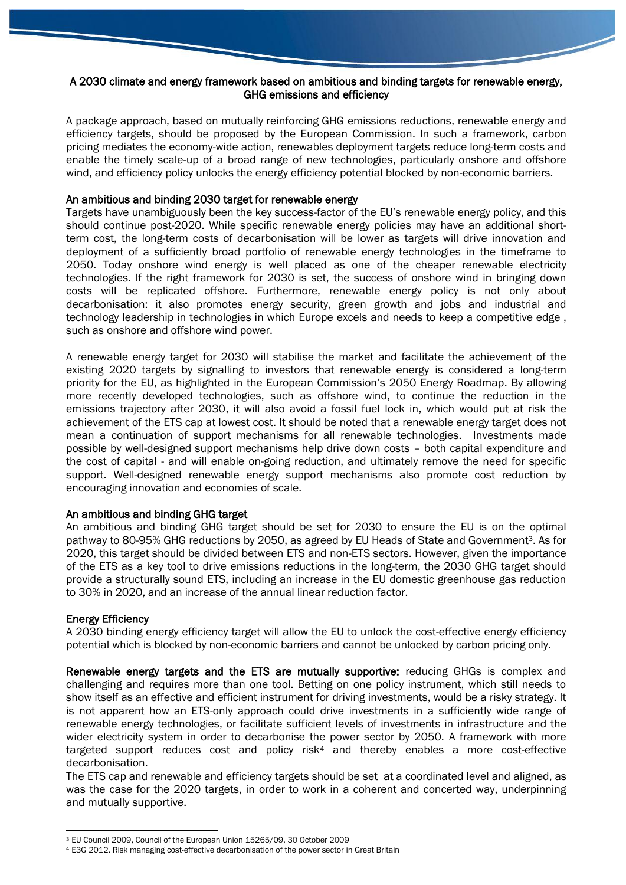# A 2030 climate and energy framework based on ambitious and binding targets for renewable energy, GHG emissions and efficiency

A package approach, based on mutually reinforcing GHG emissions reductions, renewable energy and efficiency targets, should be proposed by the European Commission. In such a framework, carbon pricing mediates the economy-wide action, renewables deployment targets reduce long-term costs and enable the timely scale-up of a broad range of new technologies, particularly onshore and offshore wind, and efficiency policy unlocks the energy efficiency potential blocked by non-economic barriers.

### An ambitious and binding 2030 target for renewable energy

Targets have unambiguously been the key success-factor of the EU's renewable energy policy, and this should continue post-2020. While specific renewable energy policies may have an additional shortterm cost, the long-term costs of decarbonisation will be lower as targets will drive innovation and deployment of a sufficiently broad portfolio of renewable energy technologies in the timeframe to 2050. Today onshore wind energy is well placed as one of the cheaper renewable electricity technologies. If the right framework for 2030 is set, the success of onshore wind in bringing down costs will be replicated offshore. Furthermore, renewable energy policy is not only about decarbonisation: it also promotes energy security, green growth and jobs and industrial and technology leadership in technologies in which Europe excels and needs to keep a competitive edge , such as onshore and offshore wind power.

A renewable energy target for 2030 will stabilise the market and facilitate the achievement of the existing 2020 targets by signalling to investors that renewable energy is considered a long-term priority for the EU, as highlighted in the European Commission's 2050 Energy Roadmap. By allowing more recently developed technologies, such as offshore wind, to continue the reduction in the emissions trajectory after 2030, it will also avoid a fossil fuel lock in, which would put at risk the achievement of the ETS cap at lowest cost. It should be noted that a renewable energy target does not mean a continuation of support mechanisms for all renewable technologies. Investments made possible by well-designed support mechanisms help drive down costs – both capital expenditure and the cost of capital - and will enable on-going reduction, and ultimately remove the need for specific support. Well-designed renewable energy support mechanisms also promote cost reduction by encouraging innovation and economies of scale.

# An ambitious and binding GHG target

An ambitious and binding GHG target should be set for 2030 to ensure the EU is on the optimal pathway to 80-95% GHG reductions by 2050, as agreed by EU Heads of State and Government<sup>3</sup>. As for 2020, this target should be divided between ETS and non-ETS sectors. However, given the importance of the ETS as a key tool to drive emissions reductions in the long-term, the 2030 GHG target should provide a structurally sound ETS, including an increase in the EU domestic greenhouse gas reduction to 30% in 2020, and an increase of the annual linear reduction factor.

# Energy Efficiency

<u>.</u>

A 2030 binding energy efficiency target will allow the EU to unlock the cost-effective energy efficiency potential which is blocked by non-economic barriers and cannot be unlocked by carbon pricing only.

Renewable energy targets and the ETS are mutually supportive: reducing GHGs is complex and challenging and requires more than one tool. Betting on one policy instrument, which still needs to show itself as an effective and efficient instrument for driving investments, would be a risky strategy. It is not apparent how an ETS-only approach could drive investments in a sufficiently wide range of renewable energy technologies, or facilitate sufficient levels of investments in infrastructure and the wider electricity system in order to decarbonise the power sector by 2050. A framework with more targeted support reduces cost and policy risk<sup>4</sup> and thereby enables a more cost-effective decarbonisation.

The ETS cap and renewable and efficiency targets should be set at a coordinated level and aligned, as was the case for the 2020 targets, in order to work in a coherent and concerted way, underpinning and mutually supportive.

<sup>3</sup> EU Council 2009, Council of the European Union 15265/09, 30 October 2009

<sup>4</sup> E3G 2012. Risk managing cost-effective decarbonisation of the power sector in Great Britain